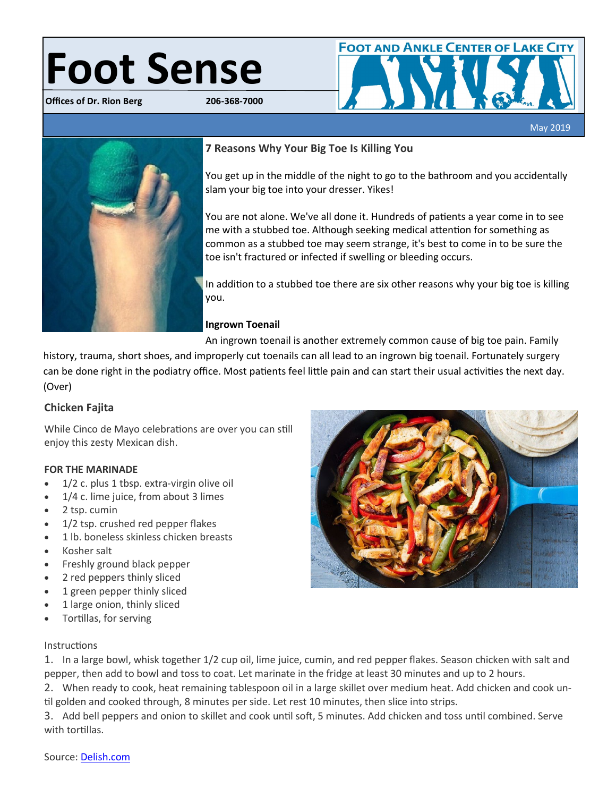# **Foot Sense**

**Offices of Dr. Rion Berg** 



# May 2019 **7 Reasons Why Your Big Toe Is Killing You**

You get up in the middle of the night to go to the bathroom and you accidentally slam your big toe into your dresser. Yikes!

You are not alone. We've all done it. Hundreds of patients a year come in to see me with a stubbed toe. Although seeking medical attention for something as common as a stubbed toe may seem strange, it's best to come in to be sure the toe isn't fractured or infected if swelling or bleeding occurs.

In addition to a stubbed toe there are six other reasons why your big toe is killing you.

### **Ingrown Toenail**

An ingrown toenail is another extremely common cause of big toe pain. Family

history, trauma, short shoes, and improperly cut toenails can all lead to an ingrown big toenail. Fortunately surgery can be done right in the podiatry office. Most patients feel little pain and can start their usual activities the next day. (Over)

# **Chicken Fajita**

While Cinco de Mayo celebrations are over you can still enjoy this zesty Mexican dish.

# **FOR THE MARINADE**

- 1/2 c. plus 1 tbsp. extra-virgin olive oil
- 1/4 c. lime juice, from about 3 limes
- 2 tsp. cumin
- 1/2 tsp. crushed red pepper flakes
- 1 lb. boneless skinless chicken breasts
- Kosher salt
- Freshly ground black pepper
- 2 red peppers thinly sliced
- 1 green pepper thinly sliced
- 1 large onion, thinly sliced
- Tortillas, for serving

### Instructions

1. In a large bowl, whisk together 1/2 cup oil, lime juice, cumin, and red pepper flakes. Season chicken with salt and pepper, then add to bowl and toss to coat. Let marinate in the fridge at least 30 minutes and up to 2 hours.

2. When ready to cook, heat remaining tablespoon oil in a large skillet over medium heat. Add chicken and cook until golden and cooked through, 8 minutes per side. Let rest 10 minutes, then slice into strips.

3. Add bell peppers and onion to skillet and cook until soft, 5 minutes. Add chicken and toss until combined. Serve with tortillas.